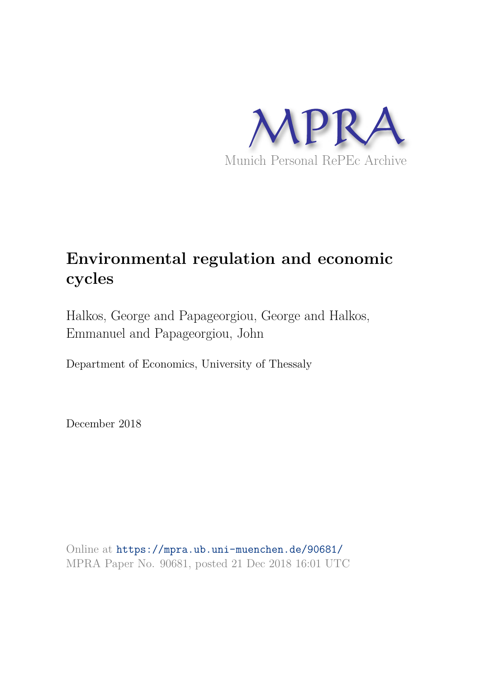

# **Environmental regulation and economic cycles**

Halkos, George and Papageorgiou, George and Halkos, Emmanuel and Papageorgiou, John

Department of Economics, University of Thessaly

December 2018

Online at https://mpra.ub.uni-muenchen.de/90681/ MPRA Paper No. 90681, posted 21 Dec 2018 16:01 UTC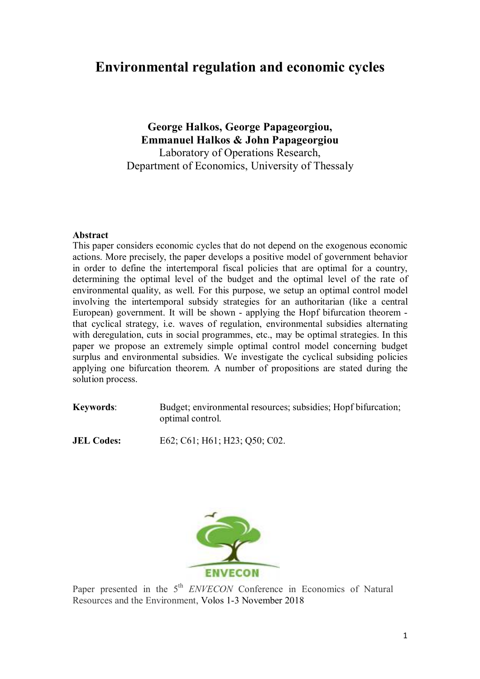# **Environmental regulation and economic cycles**

**George Halkos, George Papageorgiou, Emmanuel Halkos & John Papageorgiou**  Laboratory of Operations Research, Department of Economics, University of Thessaly

## **Abstract**

This paper considers economic cycles that do not depend on the exogenous economic actions. More precisely, the paper develops a positive model of government behavior in order to define the intertemporal fiscal policies that are optimal for a country, determining the optimal level of the budget and the optimal level of the rate of environmental quality, as well. For this purpose, we setup an optimal control model involving the intertemporal subsidy strategies for an authoritarian (like a central European) government. It will be shown - applying the Hopf bifurcation theorem that cyclical strategy, i.e. waves of regulation, environmental subsidies alternating with deregulation, cuts in social programmes, etc., may be optimal strategies. In this paper we propose an extremely simple optimal control model concerning budget surplus and environmental subsidies. We investigate the cyclical subsiding policies applying one bifurcation theorem. A number of propositions are stated during the solution process.

**Keywords:** Budget; environmental resources; subsidies; Hopf bifurcation; optimal control.

**JEL Codes:** E62; C61; H61; H23; Q50; C02.



Paper presented in the 5<sup>th</sup> *ENVECON* Conference in Economics of Natural Resources and the Environment, Volos 1-3 November 2018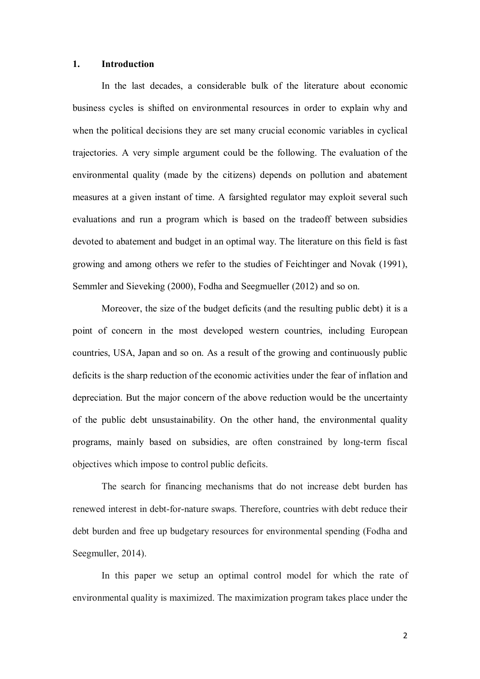#### **1. Introduction**

In the last decades, a considerable bulk of the literature about economic business cycles is shifted on environmental resources in order to explain why and when the political decisions they are set many crucial economic variables in cyclical trajectories. A very simple argument could be the following. The evaluation of the environmental quality (made by the citizens) depends on pollution and abatement measures at a given instant of time. A farsighted regulator may exploit several such evaluations and run a program which is based on the tradeoff between subsidies devoted to abatement and budget in an optimal way. The literature on this field is fast growing and among others we refer to the studies of Feichtinger and Novak (1991), Semmler and Sieveking (2000), Fodha and Seegmueller (2012) and so on.

Moreover, the size of the budget deficits (and the resulting public debt) it is a point of concern in the most developed western countries, including European countries, USA, Japan and so on. As a result of the growing and continuously public deficits is the sharp reduction of the economic activities under the fear of inflation and depreciation. But the major concern of the above reduction would be the uncertainty of the public debt unsustainability. On the other hand, the environmental quality programs, mainly based on subsidies, are often constrained by long-term fiscal objectives which impose to control public deficits.

The search for financing mechanisms that do not increase debt burden has renewed interest in debt-for-nature swaps. Therefore, countries with debt reduce their debt burden and free up budgetary resources for environmental spending (Fodha and Seegmuller, 2014).

In this paper we setup an optimal control model for which the rate of environmental quality is maximized. The maximization program takes place under the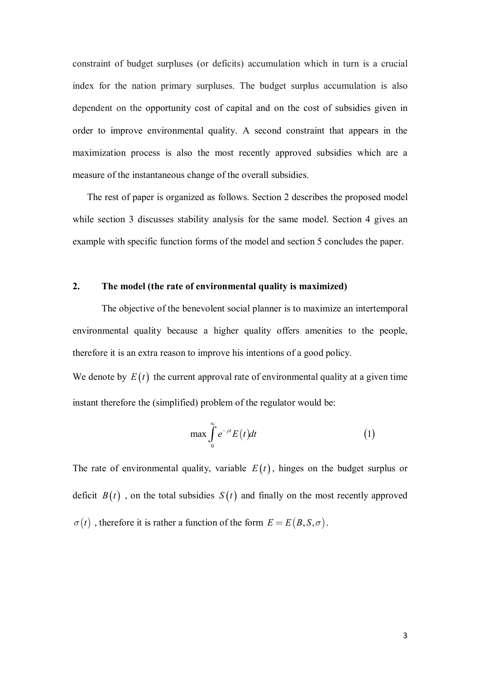constraint of budget surpluses (or deficits) accumulation which in turn is a crucial index for the nation primary surpluses. The budget surplus accumulation is also dependent on the opportunity cost of capital and on the cost of subsidies given in order to improve environmental quality. A second constraint that appears in the maximization process is also the most recently approved subsidies which are a measure of the instantaneous change of the overall subsidies.

The rest of paper is organized as follows. Section 2 describes the proposed model while section 3 discusses stability analysis for the same model. Section 4 gives an example with specific function forms of the model and section 5 concludes the paper.

# **2. The model (the rate of environmental quality is maximized)**

The objective of the benevolent social planner is to maximize an intertemporal environmental quality because a higher quality offers amenities to the people, therefore it is an extra reason to improve his intentions of a good policy.

We denote by  $E(t)$  the current approval rate of environmental quality at a given time instant therefore the (simplified) problem of the regulator would be:

$$
\max \int_{0}^{\infty} e^{-\rho t} E(t) dt \tag{1}
$$

The rate of environmental quality, variable  $E(t)$ , hinges on the budget surplus or deficit  $B(t)$ , on the total subsidies  $S(t)$  and finally on the most recently approved  $\sigma(t)$ , therefore it is rather a function of the form  $E = E(B, S, \sigma)$ .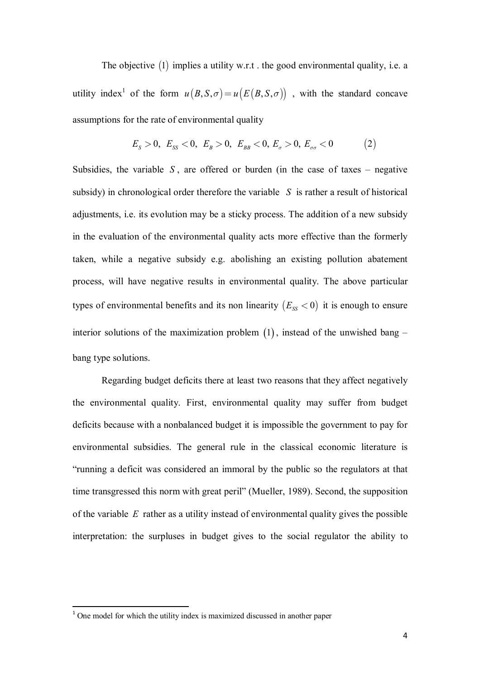The objective  $(1)$  implies a utility w.r.t. the good environmental quality, i.e. a utility index<sup>1</sup> of the form  $u(B, S, \sigma) = u(E(B, S, \sigma))$ , with the standard concave assumptions for the rate of environmental quality

$$
E_s > 0, \ E_{ss} < 0, \ E_B > 0, \ E_{BB} < 0, \ E_{\sigma} > 0, \ E_{\sigma\sigma} < 0 \tag{2}
$$

Subsidies, the variable  $S$ , are offered or burden (in the case of taxes – negative subsidy) in chronological order therefore the variable *S* is rather a result of historical adjustments, i.e. its evolution may be a sticky process. The addition of a new subsidy in the evaluation of the environmental quality acts more effective than the formerly taken, while a negative subsidy e.g. abolishing an existing pollution abatement process, will have negative results in environmental quality. The above particular types of environmental benefits and its non linearity  $(E_{ss} < 0)$  it is enough to ensure interior solutions of the maximization problem  $(1)$ , instead of the unwished bang – bang type solutions.

Regarding budget deficits there at least two reasons that they affect negatively the environmental quality. First, environmental quality may suffer from budget deficits because with a nonbalanced budget it is impossible the government to pay for environmental subsidies. The general rule in the classical economic literature is "running a deficit was considered an immoral by the public so the regulators at that time transgressed this norm with great peril" (Mueller, 1989). Second, the supposition of the variable *E* rather as a utility instead of environmental quality gives the possible interpretation: the surpluses in budget gives to the social regulator the ability to

 $\overline{a}$ 

 $1$  One model for which the utility index is maximized discussed in another paper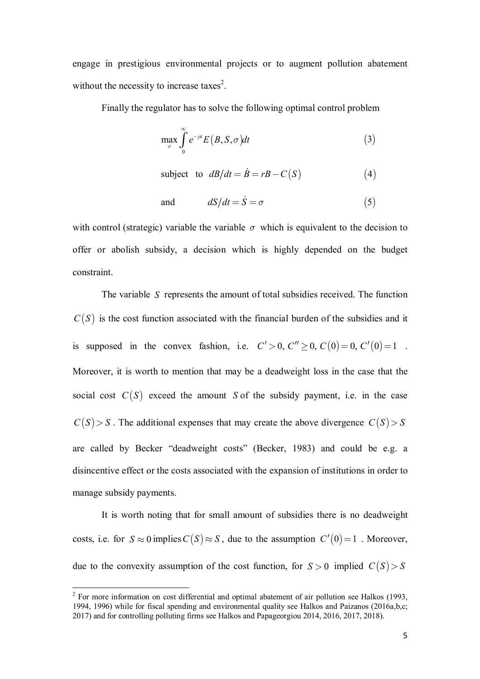engage in prestigious environmental projects or to augment pollution abatement without the necessity to increase taxes<sup>2</sup>.

Finally the regulator has to solve the following optimal control problem

$$
\max_{\sigma} \int_{0}^{\infty} e^{-\rho t} E(B, S, \sigma) dt \tag{3}
$$

subject to 
$$
\frac{dB}{dt} = \dot{B} = rB - C(S) \tag{4}
$$

and  $dS/dt = \dot{S} = \sigma$  $(5)$ 

with control (strategic) variable the variable  $\sigma$  which is equivalent to the decision to offer or abolish subsidy, a decision which is highly depended on the budget constraint.

The variable *S* represents the amount of total subsidies received. The function  $C(S)$  is the cost function associated with the financial burden of the subsidies and it is supposed in the convex fashion, i.e.  $C' > 0$ ,  $C'' \ge 0$ ,  $C(0) = 0$ ,  $C'(0) = 1$ . Moreover, it is worth to mention that may be a deadweight loss in the case that the social cost  $C(S)$  exceed the amount *S* of the subsidy payment, i.e. in the case  $C(S) > S$ . The additional expenses that may create the above divergence  $C(S) > S$ are called by Becker "deadweight costs" (Becker, 1983) and could be e.g. a disincentive effect or the costs associated with the expansion of institutions in order to manage subsidy payments.

It is worth noting that for small amount of subsidies there is no deadweight costs, i.e. for  $S \approx 0$  implies  $C(S) \approx S$ , due to the assumption  $C'(0) = 1$ . Moreover, due to the convexity assumption of the cost function, for  $S > 0$  implied  $C(S) > S$ 

 $\overline{\phantom{a}}$ 

 $2^2$  For more information on cost differential and optimal abatement of air pollution see Halkos (1993, 1994, 1996) while for fiscal spending and environmental quality see Halkos and Paizanos (2016a,b,c; 2017) and for controlling polluting firms see Halkos and Papageorgiou 2014, 2016, 2017, 2018).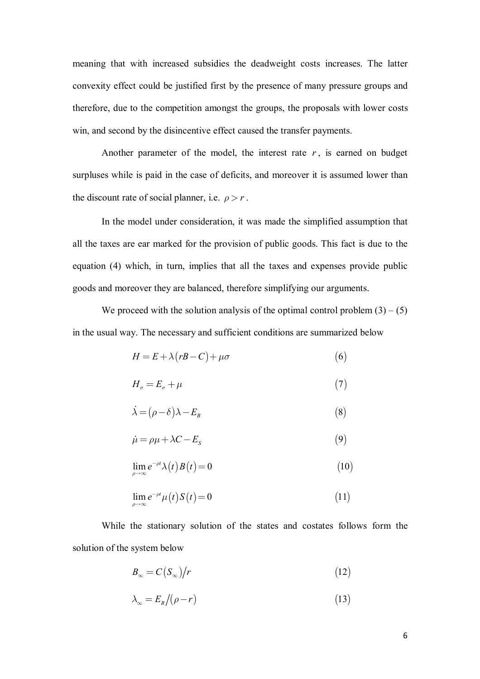meaning that with increased subsidies the deadweight costs increases. The latter convexity effect could be justified first by the presence of many pressure groups and therefore, due to the competition amongst the groups, the proposals with lower costs win, and second by the disincentive effect caused the transfer payments.

Another parameter of the model, the interest rate  $r$ , is earned on budget surpluses while is paid in the case of deficits, and moreover it is assumed lower than the discount rate of social planner, i.e.  $\rho > r$ .

In the model under consideration, it was made the simplified assumption that all the taxes are ear marked for the provision of public goods. This fact is due to the equation (4) which, in turn, implies that all the taxes and expenses provide public goods and moreover they are balanced, therefore simplifying our arguments.

We proceed with the solution analysis of the optimal control problem  $(3) - (5)$ in the usual way. The necessary and sufficient conditions are summarized below

$$
H = E + \lambda (rB - C) + \mu \sigma \tag{6}
$$

$$
H_{\sigma} = E_{\sigma} + \mu \tag{7}
$$

$$
\dot{\lambda} = (\rho - \delta)\lambda - E_B \tag{8}
$$

$$
\dot{\mu} = \rho \mu + \lambda C - E_s \tag{9}
$$

$$
\lim_{\rho \to \infty} e^{-\rho t} \lambda(t) B(t) = 0 \tag{10}
$$

$$
\lim_{\rho \to \infty} e^{-\rho t} \mu(t) S(t) = 0 \tag{11}
$$

While the stationary solution of the states and costates follows form the solution of the system below

$$
B_{\infty} = C(S_{\infty})/r \tag{12}
$$

$$
\lambda_{\infty} = E_B / (\rho - r) \tag{13}
$$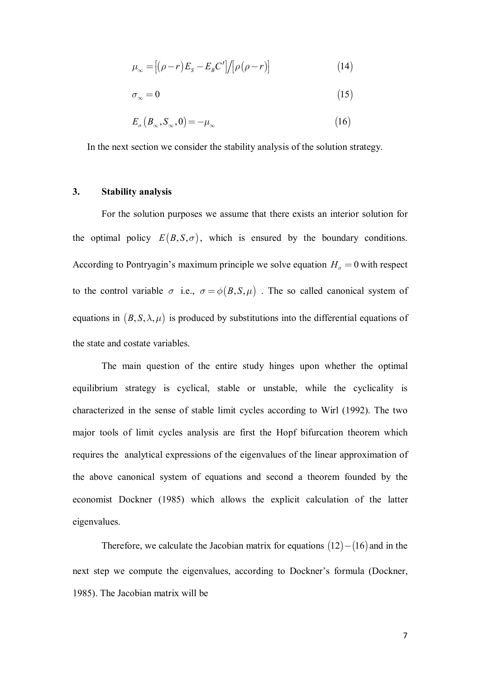$$
\mu_{\infty} = \left[ (\rho - r) E_s - E_B C' \right] / \left[ \rho (\rho - r) \right] \tag{14}
$$

$$
\sigma_{\infty} = 0 \tag{15}
$$

$$
E_{\sigma} (B_{\infty}, S_{\infty}, 0) = -\mu_{\infty} \tag{16}
$$

In the next section we consider the stability analysis of the solution strategy.

# **3. Stability analysis**

For the solution purposes we assume that there exists an interior solution for the optimal policy  $E(B, S, \sigma)$ , which is ensured by the boundary conditions. According to Pontryagin's maximum principle we solve equation  $H_{\sigma} = 0$  with respect to the control variable  $\sigma$  i.e.,  $\sigma = \phi(B, S, \mu)$ . The so called canonical system of equations in  $(B, S, \lambda, \mu)$  is produced by substitutions into the differential equations of the state and costate variables.

The main question of the entire study hinges upon whether the optimal equilibrium strategy is cyclical, stable or unstable, while the cyclicality is characterized in the sense of stable limit cycles according to Wirl (1992). The two major tools of limit cycles analysis are first the Hopf bifurcation theorem which requires the analytical expressions of the eigenvalues of the linear approximation of the above canonical system of equations and second a theorem founded by the economist Dockner (1985) which allows the explicit calculation of the latter eigenvalues.

Therefore, we calculate the Jacobian matrix for equations  $(12) - (16)$  and in the next step we compute the eigenvalues, according to Dockner's formula (Dockner, 1985). The Jacobian matrix will be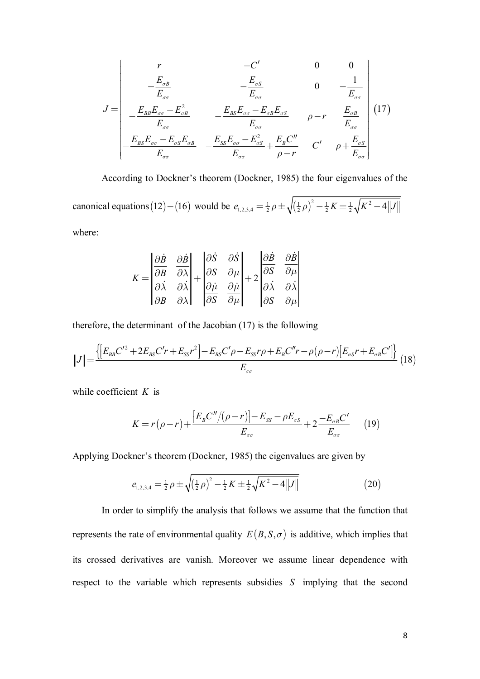$$
J = \begin{bmatrix} r & -C' & 0 & 0 \ -\frac{E_{\sigma B}}{E_{\sigma\sigma}} & -\frac{E_{\sigma S}}{E_{\sigma\sigma}} & 0 & -\frac{1}{E_{\sigma\sigma}} \ \frac{E_{BB}E_{\sigma\sigma} - E_{\sigma B}}{E_{\sigma\sigma}} & -\frac{E_{BS}E_{\sigma\sigma} - E_{\sigma B}E_{\sigma S}}{E_{\sigma\sigma}} & \rho - r & \frac{E_{\sigma B}}{E_{\sigma\sigma}} \ \frac{E_{BS}E_{\sigma\sigma} - E_{\sigma S}E_{\sigma B}}{E_{\sigma\sigma}} & -\frac{E_{SS}E_{\sigma\sigma} - E_{\sigma S}^2}{E_{\sigma\sigma}} + \frac{E_{B}C''}{\rho - r} & C' & \rho + \frac{E_{\sigma S}}{E_{\sigma\sigma}} \end{bmatrix} (17)
$$

According to Dockner's theorem (Dockner, 1985) the four eigenvalues of the

canonical equations (12) – (16) would be  $e_{1,2,3,4} = \frac{1}{2} \rho \pm \sqrt{(\frac{1}{2} \rho)^2 - \frac{1}{2} K \pm \frac{1}{2} \sqrt{K^2 - 4 \|J\|}}$ 

where:

$$
K = \begin{vmatrix} \frac{\partial \dot{B}}{\partial B} & \frac{\partial \dot{B}}{\partial \lambda} \\ \frac{\partial \dot{\lambda}}{\partial B} & \frac{\partial \dot{\lambda}}{\partial \lambda} \end{vmatrix} + \begin{vmatrix} \frac{\partial \dot{S}}{\partial S} & \frac{\partial \dot{S}}{\partial \mu} \\ \frac{\partial \dot{\mu}}{\partial S} & \frac{\partial \dot{\mu}}{\partial \mu} \end{vmatrix} + 2 \begin{vmatrix} \frac{\partial \dot{B}}{\partial S} & \frac{\partial \dot{B}}{\partial \mu} \\ \frac{\partial \dot{\lambda}}{\partial S} & \frac{\partial \dot{\lambda}}{\partial \mu} \end{vmatrix}
$$

therefore, the determinant of the Jacobian (17) is the following

$$
||J|| = \frac{\{[E_{BB}C'^2 + 2E_{BS}C'r + E_{SS}r^2] - E_{BS}C'\rho - E_{SS}r\rho + E_{B}C''r - \rho(\rho - r)[E_{\sigma S}r + E_{\sigma B}C']\}}{E_{\sigma\sigma}}
$$
(18)

while coefficient *K* is

$$
K = r(\rho - r) + \frac{[E_B C''/(\rho - r)] - E_{SS} - \rho E_{\sigma S}}{E_{\sigma \sigma}} + 2 \frac{-E_{\sigma B} C'}{E_{\sigma \sigma}} \qquad (19)
$$

Applying Dockner's theorem (Dockner, 1985) the eigenvalues are given by

$$
e_{1,2,3,4} = \frac{1}{2} \rho \pm \sqrt{\left(\frac{1}{2}\rho\right)^2 - \frac{1}{2}K \pm \frac{1}{2}\sqrt{K^2 - 4\|J\|}}\tag{20}
$$

In order to simplify the analysis that follows we assume that the function that represents the rate of environmental quality  $E(B, S, \sigma)$  is additive, which implies that its crossed derivatives are vanish. Moreover we assume linear dependence with respect to the variable which represents subsidies *S* implying that the second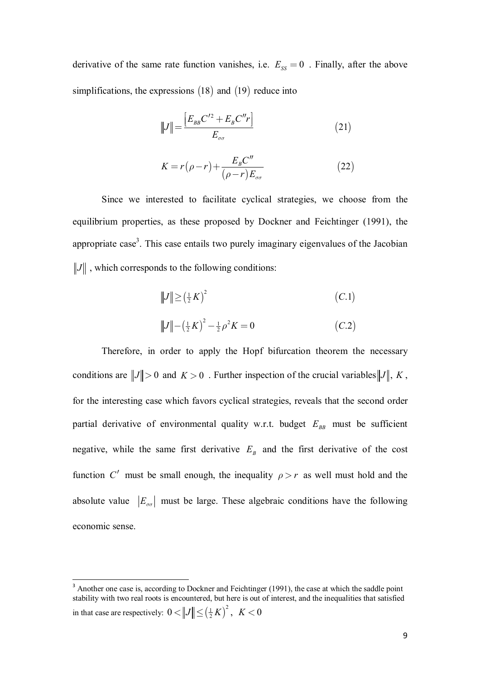derivative of the same rate function vanishes, i.e.  $E_{ss} = 0$ . Finally, after the above simplifications, the expressions  $(18)$  and  $(19)$  reduce into

$$
||J|| = \frac{[E_{BB}C'^2 + E_B C''r]}{E_{\sigma\sigma}}
$$
 (21)

$$
K = r(\rho - r) + \frac{E_B C''}{(\rho - r)E_{\sigma\sigma}} \tag{22}
$$

Since we interested to facilitate cyclical strategies, we choose from the equilibrium properties, as these proposed by Dockner and Feichtinger (1991), the appropriate case<sup>3</sup>. This case entails two purely imaginary eigenvalues of the Jacobian  $\|J\|$ , which corresponds to the following conditions:

$$
||J|| \ge (\frac{1}{2}K)^2
$$
 (C.1)  

$$
||J|| - (\frac{1}{2}K)^2 - \frac{1}{2}\rho^2 K = 0
$$
 (C.2)

Therefore, in order to apply the Hopf bifurcation theorem the necessary conditions are  $||J|| > 0$  and  $K > 0$ . Further inspection of the crucial variables  $||J||$ , K, for the interesting case which favors cyclical strategies, reveals that the second order partial derivative of environmental quality w.r.t. budget  $E_{BB}$  must be sufficient negative, while the same first derivative  $E_B$  and the first derivative of the cost function *C'* must be small enough, the inequality  $\rho > r$  as well must hold and the absolute value  $|E_{\sigma\sigma}|$  must be large. These algebraic conditions have the following economic sense.

 $\overline{a}$ 

<sup>&</sup>lt;sup>3</sup> Another one case is, according to Dockner and Feichtinger (1991), the case at which the saddle point stability with two real roots is encountered, but here is out of interest, and the inequalities that satisfied in that case are respectively:  $0 < ||J|| \le (\frac{1}{2}K)^2$ ,  $K < 0$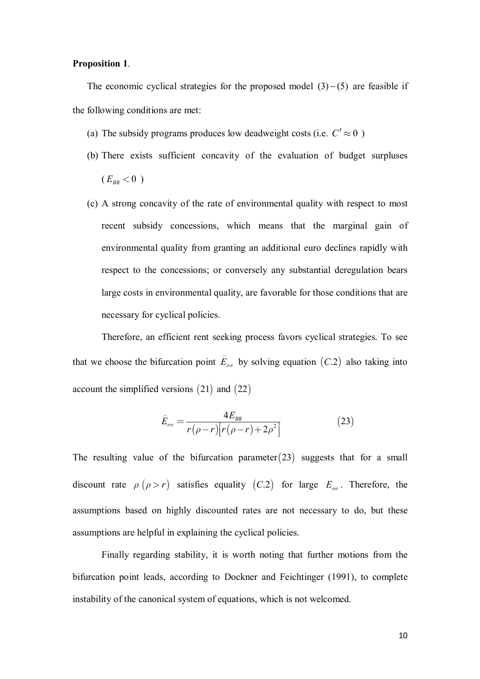## **Proposition 1**.

The economic cyclical strategies for the proposed model  $(3)$  – (5) are feasible if the following conditions are met:

- (a) The subsidy programs produces low deadweight costs (i.e.  $C' \approx 0$ )
- (b) There exists sufficient concavity of the evaluation of budget surpluses  $(E_{BB} < 0)$
- (c) A strong concavity of the rate of environmental quality with respect to most recent subsidy concessions, which means that the marginal gain of environmental quality from granting an additional euro declines rapidly with respect to the concessions; or conversely any substantial deregulation bears large costs in environmental quality, are favorable for those conditions that are necessary for cyclical policies.

 Therefore, an efficient rent seeking process favors cyclical strategies. To see that we choose the bifurcation point  $E_{\sigma\sigma}$  $\hat{z}$ by solving equation  $(C.2)$  also taking into account the simplified versions  $(21)$  and  $(22)$ 

$$
\hat{E}_{\sigma\sigma} = \frac{4E_{BB}}{r(\rho - r)[r(\rho - r) + 2\rho^2]}
$$
\n(23)

The resulting value of the bifurcation parameter $(23)$  suggests that for a small discount rate  $\rho$  ( $\rho > r$ ) satisfies equality (C.2) for large  $E_{\sigma\sigma}$ . Therefore, the assumptions based on highly discounted rates are not necessary to do, but these assumptions are helpful in explaining the cyclical policies.

Finally regarding stability, it is worth noting that further motions from the bifurcation point leads, according to Dockner and Feichtinger (1991), to complete instability of the canonical system of equations, which is not welcomed.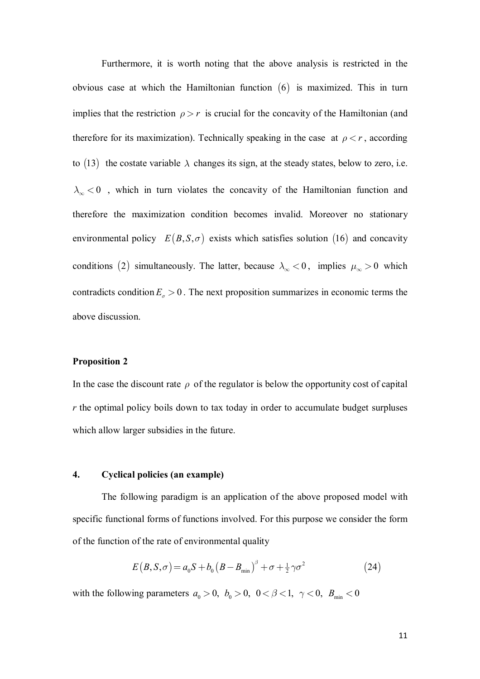Furthermore, it is worth noting that the above analysis is restricted in the obvious case at which the Hamiltonian function  $(6)$  is maximized. This in turn implies that the restriction  $\rho > r$  is crucial for the concavity of the Hamiltonian (and therefore for its maximization). Technically speaking in the case at  $\rho < r$ , according to (13) the costate variable  $\lambda$  changes its sign, at the steady states, below to zero, i.e.  $\lambda_{\infty}$  < 0, which in turn violates the concavity of the Hamiltonian function and therefore the maximization condition becomes invalid. Moreover no stationary environmental policy  $E(B, S, \sigma)$  exists which satisfies solution (16) and concavity conditions (2) simultaneously. The latter, because  $\lambda_{\infty} < 0$ , implies  $\mu_{\infty} > 0$  which contradicts condition  $E_{\sigma} > 0$ . The next proposition summarizes in economic terms the above discussion.

#### **Proposition 2**

In the case the discount rate  $\rho$  of the regulator is below the opportunity cost of capital *r* the optimal policy boils down to tax today in order to accumulate budget surpluses which allow larger subsidies in the future.

## **4. Cyclical policies (an example)**

The following paradigm is an application of the above proposed model with specific functional forms of functions involved. For this purpose we consider the form of the function of the rate of environmental quality

$$
E(B, S, \sigma) = a_0 S + b_0 (B - B_{\min})^{\beta} + \sigma + \frac{1}{2} \gamma \sigma^2
$$
 (24)

with the following parameters  $a_0 > 0$ ,  $b_0 > 0$ ,  $0 < \beta < 1$ ,  $\gamma < 0$ ,  $B_{\min} < 0$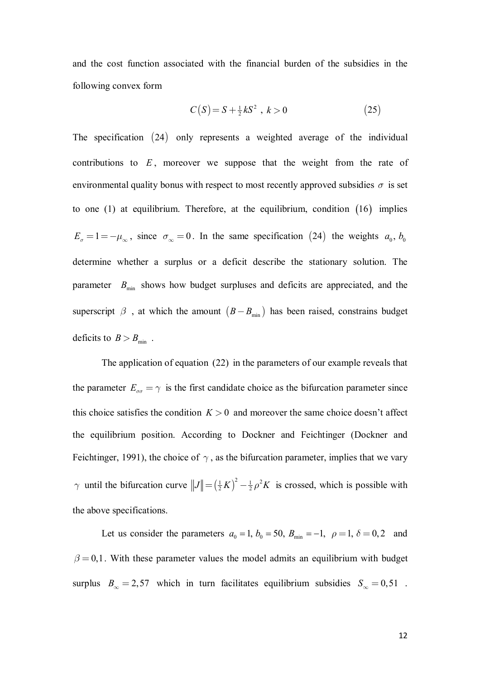and the cost function associated with the financial burden of the subsidies in the following convex form

$$
C(S) = S + \frac{1}{2}kS^2, \ k > 0
$$
 (25)

The specification  $(24)$  only represents a weighted average of the individual contributions to *E* , moreover we suppose that the weight from the rate of environmental quality bonus with respect to most recently approved subsidies  $\sigma$  is set to one  $(1)$  at equilibrium. Therefore, at the equilibrium, condition  $(16)$  implies  $E_{\sigma} = 1 = -\mu_{\infty}$ , since  $\sigma_{\infty} = 0$ . In the same specification (24) the weights  $a_0$ ,  $b_0$ determine whether a surplus or a deficit describe the stationary solution. The parameter  $B_{\text{min}}$  shows how budget surpluses and deficits are appreciated, and the superscript  $\beta$ , at which the amount  $(B - B_{\text{min}})$  has been raised, constrains budget deficits to  $B > B_{\text{min}}$ .

The application of equation (22) in the parameters of our example reveals that the parameter  $E_{\sigma\sigma} = \gamma$  is the first candidate choice as the bifurcation parameter since this choice satisfies the condition  $K > 0$  and moreover the same choice doesn't affect the equilibrium position. According to Dockner and Feichtinger (Dockner and Feichtinger, 1991), the choice of  $\gamma$ , as the bifurcation parameter, implies that we vary  $\gamma$  until the bifurcation curve  $||J|| = (\frac{1}{2}K)^2 - \frac{1}{2}\rho^2 K$  is crossed, which is possible with the above specifications.

Let us consider the parameters  $a_0 = 1$ ,  $b_0 = 50$ ,  $B_{\text{min}} = -1$ ,  $\rho = 1$ ,  $\delta = 0, 2$  and  $\beta = 0,1$ . With these parameter values the model admits an equilibrium with budget surplus  $B_{\infty} = 2.57$  which in turn facilitates equilibrium subsidies  $S_{\infty} = 0.51$ .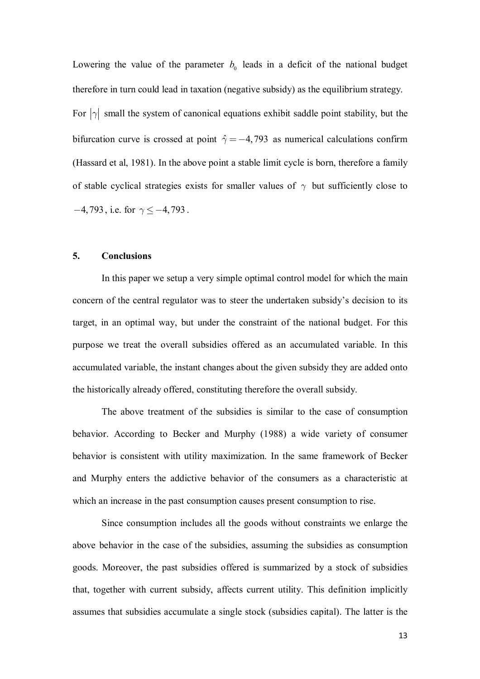Lowering the value of the parameter  $b_0$  leads in a deficit of the national budget therefore in turn could lead in taxation (negative subsidy) as the equilibrium strategy. For  $|\gamma|$  small the system of canonical equations exhibit saddle point stability, but the bifurcation curve is crossed at point  $\hat{\gamma} = -4,793$  as numerical calculations confirm (Hassard et al, 1981). In the above point a stable limit cycle is born, therefore a family of stable cyclical strategies exists for smaller values of  $\gamma$  but sufficiently close to  $-4,793$ , i.e. for  $\gamma \le -4,793$ .

#### **5. Conclusions**

In this paper we setup a very simple optimal control model for which the main concern of the central regulator was to steer the undertaken subsidy's decision to its target, in an optimal way, but under the constraint of the national budget. For this purpose we treat the overall subsidies offered as an accumulated variable. In this accumulated variable, the instant changes about the given subsidy they are added onto the historically already offered, constituting therefore the overall subsidy.

The above treatment of the subsidies is similar to the case of consumption behavior. According to Becker and Murphy (1988) a wide variety of consumer behavior is consistent with utility maximization. In the same framework of Becker and Murphy enters the addictive behavior of the consumers as a characteristic at which an increase in the past consumption causes present consumption to rise.

Since consumption includes all the goods without constraints we enlarge the above behavior in the case of the subsidies, assuming the subsidies as consumption goods. Moreover, the past subsidies offered is summarized by a stock of subsidies that, together with current subsidy, affects current utility. This definition implicitly assumes that subsidies accumulate a single stock (subsidies capital). The latter is the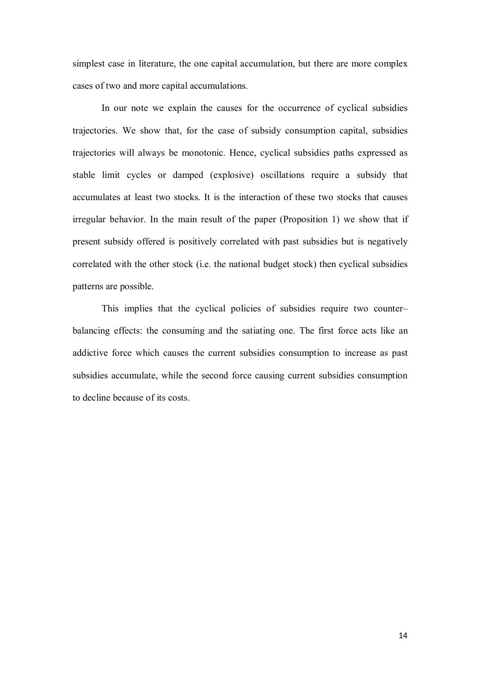simplest case in literature, the one capital accumulation, but there are more complex cases of two and more capital accumulations.

In our note we explain the causes for the occurrence of cyclical subsidies trajectories. We show that, for the case of subsidy consumption capital, subsidies trajectories will always be monotonic. Hence, cyclical subsidies paths expressed as stable limit cycles or damped (explosive) oscillations require a subsidy that accumulates at least two stocks. It is the interaction of these two stocks that causes irregular behavior. In the main result of the paper (Proposition 1) we show that if present subsidy offered is positively correlated with past subsidies but is negatively correlated with the other stock (i.e. the national budget stock) then cyclical subsidies patterns are possible.

This implies that the cyclical policies of subsidies require two counter– balancing effects: the consuming and the satiating one. The first force acts like an addictive force which causes the current subsidies consumption to increase as past subsidies accumulate, while the second force causing current subsidies consumption to decline because of its costs.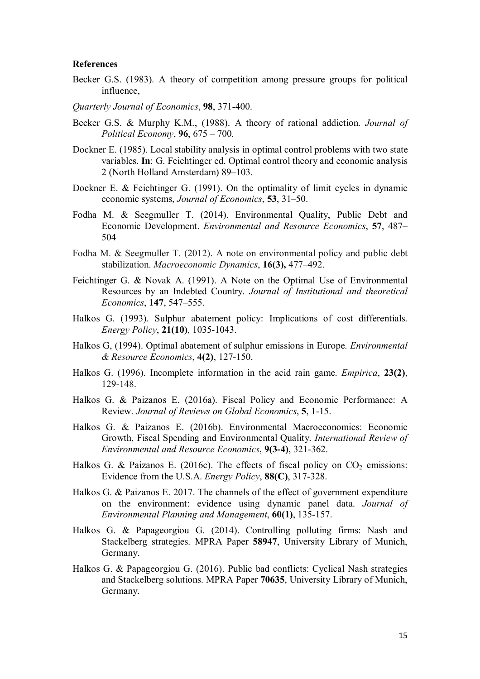#### **References**

- Becker G.S. (1983). A theory of competition among pressure groups for political influence,
- *Quarterly Journal of Economics*, **98**, 371-400.
- Becker G.S. & Murphy K.M., (1988). A theory of rational addiction. *Journal of Political Economy*, **96**, 675 – 700.
- Dockner E. (1985). Local stability analysis in optimal control problems with two state variables. **In**: G. Feichtinger ed. Optimal control theory and economic analysis 2 (North Holland Amsterdam) 89–103.
- Dockner E. & Feichtinger G. (1991). On the optimality of limit cycles in dynamic economic systems, *Journal of Economics*, **53**, 31–50.
- Fodha M. & Seegmuller T. (2014). Environmental Quality, Public Debt and Economic Development. *Environmental and Resource Economics*, **57**, 487– 504
- Fodha M. & Seegmuller T. (2012). A note on environmental policy and public debt stabilization. *Macroeconomic Dynamics*, **16(3),** 477–492.
- Feichtinger G. & Novak A. (1991). A Note on the Optimal Use of Environmental Resources by an Indebted Country. *Journal of Institutional and theoretical Economics*, **147**, 547–555.
- Halkos G. (1993). Sulphur abatement policy: Implications of cost differentials. *Energy Policy*, **21(10)**, 1035-1043.
- Halkos G, (1994). Optimal abatement of sulphur emissions in Europe. *Environmental & Resource Economics*, **4(2)**, 127-150.
- Halkos G. (1996). Incomplete information in the acid rain game. *Empirica*, **23(2)**, 129-148.
- Halkos G. & Paizanos E. (2016a). Fiscal Policy and Economic Performance: A Review. *Journal of Reviews on Global Economics*, **5**, 1-15.
- Halkos G. & Paizanos E. (2016b). Environmental Macroeconomics: Economic Growth, Fiscal Spending and Environmental Quality. *International Review of Environmental and Resource Economics*, **9(3-4)**, 321-362.
- Halkos G. & Paizanos E. (2016c). The effects of fiscal policy on  $CO<sub>2</sub>$  emissions: Evidence from the U.S.A. *Energy Policy*, **88(C)**, 317-328.
- Halkos G. & Paizanos E. 2017. The channels of the effect of government expenditure on the environment: evidence using dynamic panel data. *Journal of Environmental Planning and Management*, **60(1)**, 135-157.
- Halkos G. & Papageorgiou G. (2014). Controlling polluting firms: Nash and Stackelberg strategies. MPRA Paper **58947**, University Library of Munich, Germany.
- Halkos G. & Papageorgiou G. (2016). Public bad conflicts: Cyclical Nash strategies and Stackelberg solutions. MPRA Paper **70635**, University Library of Munich, Germany.